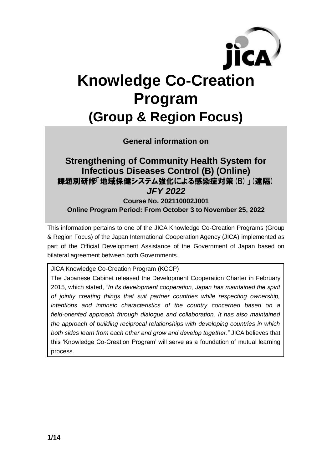

# **Knowledge Co-Creation Program (Group & Region Focus)**

**General information on**

### **Strengthening of Community Health System for Infectious Diseases Control (B) (Online)** 課題別研修「地域保健システム強化による感染症対策(B)」(遠隔) *JFY 2022*

**Course No. 202110002J001 Online Program Period: From October 3 to November 25, 2022**

This information pertains to one of the JICA Knowledge Co-Creation Programs (Group & Region Focus) of the Japan International Cooperation Agency (JICA) implemented as part of the Official Development Assistance of the Government of Japan based on bilateral agreement between both Governments.

JICA Knowledge Co-Creation Program (KCCP)

The Japanese Cabinet released the Development Cooperation Charter in February 2015, which stated, *"In its development cooperation, Japan has maintained the spirit of jointly creating things that suit partner countries while respecting ownership, intentions and intrinsic characteristics of the country concerned based on a field-oriented approach through dialogue and collaboration. It has also maintained the approach of building reciprocal relationships with developing countries in which both sides learn from each other and grow and develop together."* JICA believes that this 'Knowledge Co-Creation Program' will serve as a foundation of mutual learning process.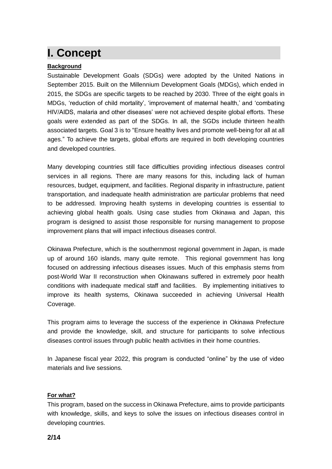### **I. Concept**

#### **Background**

Sustainable Development Goals (SDGs) were adopted by the United Nations in September 2015. Built on the Millennium Development Goals (MDGs), which ended in 2015, the SDGs are specific targets to be reached by 2030. Three of the eight goals in MDGs, 'reduction of child mortality', 'improvement of maternal health,' and 'combating HIV/AIDS, malaria and other diseases' were not achieved despite global efforts. These goals were extended as part of the SDGs. In all, the SGDs include thirteen health associated targets. Goal 3 is to "Ensure healthy lives and promote well-being for all at all ages." To achieve the targets, global efforts are required in both developing countries and developed countries.

Many developing countries still face difficulties providing infectious diseases control services in all regions. There are many reasons for this, including lack of human resources, budget, equipment, and facilities. Regional disparity in infrastructure, patient transportation, and inadequate health administration are particular problems that need to be addressed. Improving health systems in developing countries is essential to achieving global health goals. Using case studies from Okinawa and Japan, this program is designed to assist those responsible for nursing management to propose improvement plans that will impact infectious diseases control.

Okinawa Prefecture, which is the southernmost regional government in Japan, is made up of around 160 islands, many quite remote. This regional government has long focused on addressing infectious diseases issues. Much of this emphasis stems from post-World War II reconstruction when Okinawans suffered in extremely poor health conditions with inadequate medical staff and facilities. By implementing initiatives to improve its health systems, Okinawa succeeded in achieving Universal Health Coverage.

This program aims to leverage the success of the experience in Okinawa Prefecture and provide the knowledge, skill, and structure for participants to solve infectious diseases control issues through public health activities in their home countries.

In Japanese fiscal year 2022, this program is conducted "online" by the use of video materials and live sessions.

#### **For what?**

This program, based on the success in Okinawa Prefecture, aims to provide participants with knowledge, skills, and keys to solve the issues on infectious diseases control in developing countries.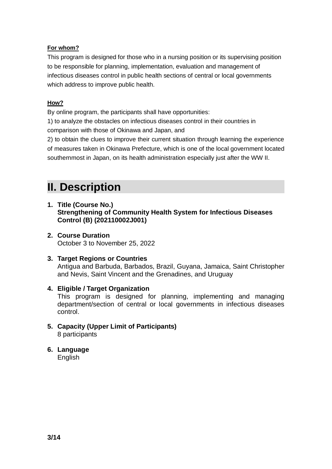#### **For whom?**

This program is designed for those who in a nursing position or its supervising position to be responsible for planning, implementation, evaluation and management of infectious diseases control in public health sections of central or local governments which address to improve public health.

#### **How?**

By online program, the participants shall have opportunities:

1) to analyze the obstacles on infectious diseases control in their countries in comparison with those of Okinawa and Japan, and

2) to obtain the clues to improve their current situation through learning the experience of measures taken in Okinawa Prefecture, which is one of the local government located southernmost in Japan, on its health administration especially just after the WW II.

### **II. Description**

- **1. Title (Course No.) Strengthening of Community Health System for Infectious Diseases Control (B) (202110002J001)**
- **2. Course Duration** October 3 to November 25, 2022
- **3. Target Regions or Countries** Antigua and Barbuda, Barbados, Brazil, Guyana, Jamaica, Saint Christopher and Nevis, Saint Vincent and the Grenadines, and Uruguay
- **4. Eligible / Target Organization** This program is designed for planning, implementing and managing department/section of central or local governments in infectious diseases control.
- **5. Capacity (Upper Limit of Participants)** 8 participants
- **6. Language English**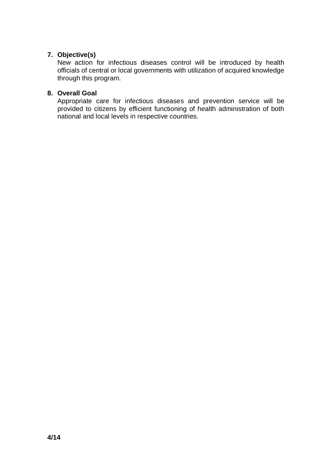#### **7. Objective(s)**

New action for infectious diseases control will be introduced by health officials of central or local governments with utilization of acquired knowledge through this program.

#### **8. Overall Goal**

Appropriate care for infectious diseases and prevention service will be provided to citizens by efficient functioning of health administration of both national and local levels in respective countries.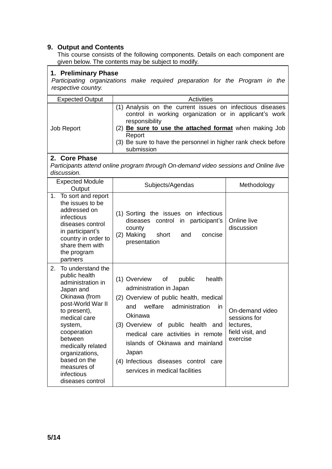#### **9. Output and Contents**

This course consists of the following components. Details on each component are given below. The contents may be subject to modify.

| 1. Preliminary Phase<br>Participating organizations make required preparation for the Program in the<br>respective country.                                                                                                                                                                   |                                                                                                                                                                                                                                                                                                                                                                     |                                                                              |  |  |
|-----------------------------------------------------------------------------------------------------------------------------------------------------------------------------------------------------------------------------------------------------------------------------------------------|---------------------------------------------------------------------------------------------------------------------------------------------------------------------------------------------------------------------------------------------------------------------------------------------------------------------------------------------------------------------|------------------------------------------------------------------------------|--|--|
| <b>Expected Output</b>                                                                                                                                                                                                                                                                        | <b>Activities</b>                                                                                                                                                                                                                                                                                                                                                   |                                                                              |  |  |
| Job Report                                                                                                                                                                                                                                                                                    | (1) Analysis on the current issues on infectious diseases<br>control in working organization or in applicant's work<br>responsibility<br>(2) Be sure to use the attached format when making Job<br>Report<br>(3) Be sure to have the personnel in higher rank check before<br>submission                                                                            |                                                                              |  |  |
| 2. Core Phase<br>Participants attend online program through On-demand video sessions and Online live<br>discussion.                                                                                                                                                                           |                                                                                                                                                                                                                                                                                                                                                                     |                                                                              |  |  |
| <b>Expected Module</b><br>Output                                                                                                                                                                                                                                                              | Subjects/Agendas                                                                                                                                                                                                                                                                                                                                                    | Methodology                                                                  |  |  |
| 1. To sort and report<br>the issues to be<br>addressed on<br>infectious<br>diseases control<br>in participant's<br>country in order to<br>share them with<br>the program<br>partners                                                                                                          | (1) Sorting the issues on infectious<br>diseases<br>control in participant's<br>county<br>short<br>(2) Making<br>and<br>concise<br>presentation                                                                                                                                                                                                                     | Online live<br>discussion                                                    |  |  |
| 2.<br>To understand the<br>public health<br>administration in<br>Japan and<br>Okinawa (from<br>post-World War II<br>to present),<br>medical care<br>system,<br>cooperation<br>between<br>medically related<br>organizations,<br>based on the<br>measures of<br>infectious<br>diseases control | (1) Overview<br>of<br>public<br>health<br>administration in Japan<br>(2) Overview of public health, medical<br>welfare<br>administration<br>and<br>in<br>Okinawa<br>(3) Overview of public health and<br>medical care activities in remote<br>islands of Okinawa and mainland<br>Japan<br>(4) Infectious diseases control<br>care<br>services in medical facilities | On-demand video<br>sessions for<br>lectures,<br>field visit, and<br>exercise |  |  |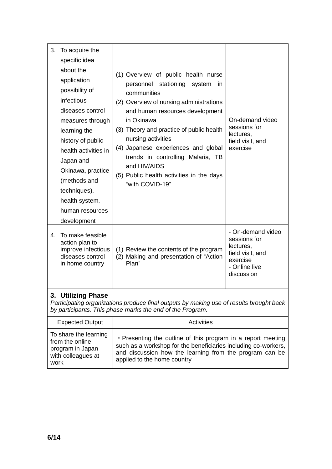| 3. | To acquire the<br>specific idea<br>about the<br>application<br>possibility of<br>infectious<br>diseases control<br>measures through<br>learning the<br>history of public<br>health activities in<br>Japan and<br>Okinawa, practice<br>(methods and<br>techniques),<br>health system,<br>human resources<br>development | (1) Overview of public health nurse<br>personnel stationing<br>system<br>in<br>communities<br>(2) Overview of nursing administrations<br>and human resources development<br>in Okinawa<br>(3) Theory and practice of public health<br>nursing activities<br>(4) Japanese experiences and global<br>trends in controlling Malaria, TB<br>and HIV/AIDS<br>(5) Public health activities in the days<br>"with COVID-19" | On-demand video<br>sessions for<br>lectures,<br>field visit, and<br>exercise                                  |
|----|------------------------------------------------------------------------------------------------------------------------------------------------------------------------------------------------------------------------------------------------------------------------------------------------------------------------|---------------------------------------------------------------------------------------------------------------------------------------------------------------------------------------------------------------------------------------------------------------------------------------------------------------------------------------------------------------------------------------------------------------------|---------------------------------------------------------------------------------------------------------------|
| 4. | To make feasible<br>action plan to<br>improve infectious<br>diseases control<br>in home country                                                                                                                                                                                                                        | (1) Review the contents of the program<br>(2) Making and presentation of "Action<br>Plan"                                                                                                                                                                                                                                                                                                                           | - On-demand video<br>sessions for<br>lectures,<br>field visit, and<br>exercise<br>- Online live<br>discussion |

#### **3. Utilizing Phase**

*Participating organizations produce final outputs by making use of results brought back by participants. This phase marks the end of the Program.*

| <b>Expected Output</b>                                                                     | Activities                                                                                                                                                                                                               |
|--------------------------------------------------------------------------------------------|--------------------------------------------------------------------------------------------------------------------------------------------------------------------------------------------------------------------------|
| To share the learning<br>from the online<br>program in Japan<br>with colleagues at<br>work | . Presenting the outline of this program in a report meeting<br>such as a workshop for the beneficiaries including co-workers,<br>and discussion how the learning from the program can be<br>applied to the home country |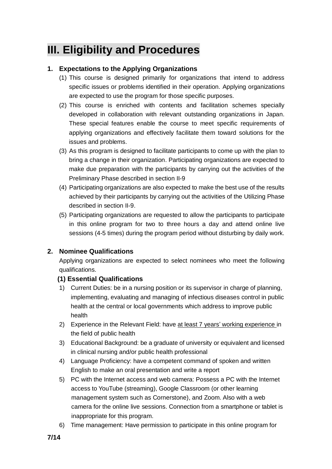### **III. Eligibility and Procedures**

#### **1. Expectations to the Applying Organizations**

- (1) This course is designed primarily for organizations that intend to address specific issues or problems identified in their operation. Applying organizations are expected to use the program for those specific purposes.
- (2) This course is enriched with contents and facilitation schemes specially developed in collaboration with relevant outstanding organizations in Japan. These special features enable the course to meet specific requirements of applying organizations and effectively facilitate them toward solutions for the issues and problems.
- (3) As this program is designed to facilitate participants to come up with the plan to bring a change in their organization. Participating organizations are expected to make due preparation with the participants by carrying out the activities of the Preliminary Phase described in section II-9
- (4) Participating organizations are also expected to make the best use of the results achieved by their participants by carrying out the activities of the Utilizing Phase described in section II-9.
- (5) Participating organizations are requested to allow the participants to participate in this online program for two to three hours a day and attend online live sessions (4-5 times) during the program period without disturbing by daily work.

#### **2. Nominee Qualifications**

Applying organizations are expected to select nominees who meet the following qualifications.

#### **(1) Essential Qualifications**

- 1) Current Duties: be in a nursing position or its supervisor in charge of planning, implementing, evaluating and managing of infectious diseases control in public health at the central or local governments which address to improve public health
- 2) Experience in the Relevant Field: have at least 7 years' working experience in the field of public health
- 3) Educational Background: be a graduate of university or equivalent and licensed in clinical nursing and/or public health professional
- 4) Language Proficiency: have a competent command of spoken and written English to make an oral presentation and write a report
- 5) PC with the Internet access and web camera: Possess a PC with the Internet access to YouTube (streaming), Google Classroom (or other learning management system such as Cornerstone), and Zoom. Also with a web camera for the online live sessions. Connection from a smartphone or tablet is inappropriate for this program.
- 6) Time management: Have permission to participate in this online program for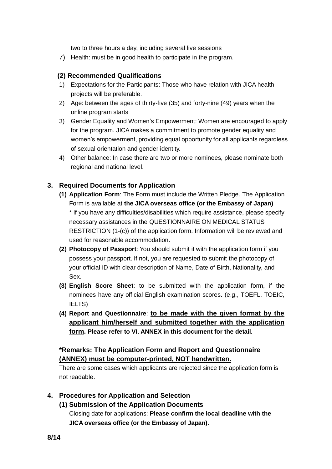two to three hours a day, including several live sessions

7) Health: must be in good health to participate in the program.

#### **(2) Recommended Qualifications**

- 1) Expectations for the Participants: Those who have relation with JICA health projects will be preferable.
- 2) Age: between the ages of thirty-five (35) and forty-nine (49) years when the online program starts
- 3) Gender Equality and Women's Empowerment: Women are encouraged to apply for the program. JICA makes a commitment to promote gender equality and women's empowerment, providing equal opportunity for all applicants regardless of sexual orientation and gender identity.
- 4) Other balance: In case there are two or more nominees, please nominate both regional and national level.

#### **3. Required Documents for Application**

- **(1) Application Form**: The Form must include the Written Pledge. The Application Form is available at **the JICA overseas office (or the Embassy of Japan)** \* If you have any difficulties/disabilities which require assistance, please specify necessary assistances in the QUESTIONNAIRE ON MEDICAL STATUS RESTRICTION (1-(c)) of the application form. Information will be reviewed and used for reasonable accommodation.
- **(2) Photocopy of Passport**: You should submit it with the application form if you possess your passport. If not, you are requested to submit the photocopy of your official ID with clear description of Name, Date of Birth, Nationality, and Sex.
- **(3) English Score Sheet**: to be submitted with the application form, if the nominees have any official English examination scores. (e.g., TOEFL, TOEIC, IELTS)
- **(4) Report and Questionnaire**: **to be made with the given format by the applicant him/herself and submitted together with the application form. Please refer to VI. ANNEX in this document for the detail.**

#### **\*Remarks: The Application Form and Report and Questionnaire (ANNEX) must be computer-printed, NOT handwritten.**

There are some cases which applicants are rejected since the application form is not readable.

#### **4. Procedures for Application and Selection**

**(1) Submission of the Application Documents**

Closing date for applications: **Please confirm the local deadline with the JICA overseas office (or the Embassy of Japan).**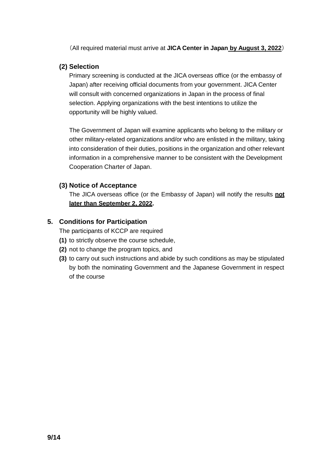(All required material must arrive at **JICA Center in Japan by August 3, 2022**)

#### **(2) Selection**

Primary screening is conducted at the JICA overseas office (or the embassy of Japan) after receiving official documents from your government. JICA Center will consult with concerned organizations in Japan in the process of final selection. Applying organizations with the best intentions to utilize the opportunity will be highly valued.

The Government of Japan will examine applicants who belong to the military or other military-related organizations and/or who are enlisted in the military, taking into consideration of their duties, positions in the organization and other relevant information in a comprehensive manner to be consistent with the Development Cooperation Charter of Japan.

#### **(3) Notice of Acceptance**

The JICA overseas office (or the Embassy of Japan) will notify the results **not later than September 2, 2022.**

#### **5. Conditions for Participation**

The participants of KCCP are required

- **(1)** to strictly observe the course schedule,
- **(2)** not to change the program topics, and
- **(3)** to carry out such instructions and abide by such conditions as may be stipulated by both the nominating Government and the Japanese Government in respect of the course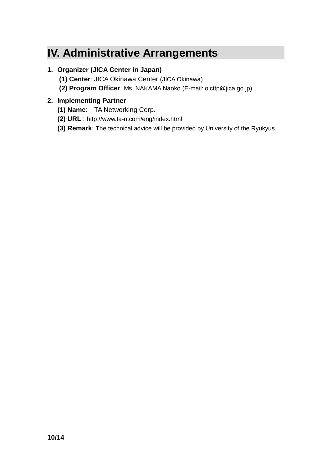### **IV. Administrative Arrangements**

#### **1. Organizer (JICA Center in Japan)**

- **(1) Center**: JICA Okinawa Center (JICA Okinawa)
- **(2) Program Officer**: Ms. NAKAMA Naoko (E-mail: oicttp@jica.go.jp)

#### **2. Implementing Partner**

- **(1) Name**: TA Networking Corp.
- **(2) URL** : <http://www.ta-n.com/eng/index.html>
- **(3) Remark**: The technical advice will be provided by University of the Ryukyus.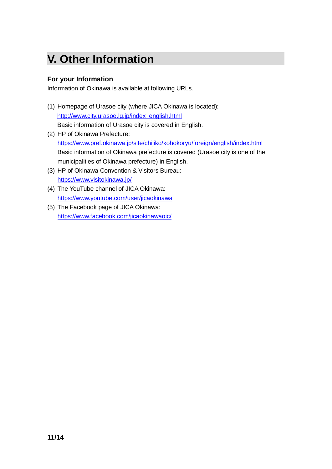## **V. Other Information**

#### **For your Information**

Information of Okinawa is available at following URLs.

- (1) Homepage of Urasoe city (where JICA Okinawa is located): [http://www.city.urasoe.lg.jp/index\\_english.html](http://www.city.urasoe.lg.jp/index_english.html) Basic information of Urasoe city is covered in English.
- (2) HP of Okinawa Prefecture: <https://www.pref.okinawa.jp/site/chijiko/kohokoryu/foreign/english/index.html> Basic information of Okinawa prefecture is covered (Urasoe city is one of the municipalities of Okinawa prefecture) in English.
- (3) HP of Okinawa Convention & Visitors Bureau: <https://www.visitokinawa.jp/>
- (4) The YouTube channel of JICA Okinawa: <https://www.youtube.com/user/jicaokinawa>
- (5) The Facebook page of JICA Okinawa: <https://www.facebook.com/jicaokinawaoic/>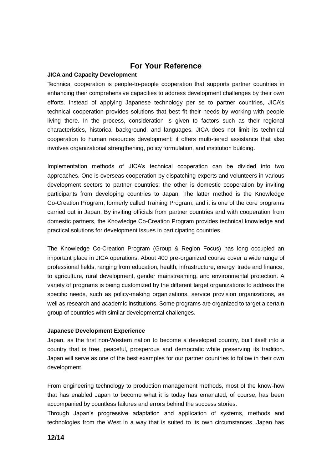#### **For Your Reference**

#### **JICA and Capacity Development**

Technical cooperation is people-to-people cooperation that supports partner countries in enhancing their comprehensive capacities to address development challenges by their own efforts. Instead of applying Japanese technology per se to partner countries, JICA's technical cooperation provides solutions that best fit their needs by working with people living there. In the process, consideration is given to factors such as their regional characteristics, historical background, and languages. JICA does not limit its technical cooperation to human resources development; it offers multi-tiered assistance that also involves organizational strengthening, policy formulation, and institution building.

Implementation methods of JICA's technical cooperation can be divided into two approaches. One is overseas cooperation by dispatching experts and volunteers in various development sectors to partner countries; the other is domestic cooperation by inviting participants from developing countries to Japan. The latter method is the Knowledge Co-Creation Program, formerly called Training Program, and it is one of the core programs carried out in Japan. By inviting officials from partner countries and with cooperation from domestic partners, the Knowledge Co-Creation Program provides technical knowledge and practical solutions for development issues in participating countries.

The Knowledge Co-Creation Program (Group & Region Focus) has long occupied an important place in JICA operations. About 400 pre-organized course cover a wide range of professional fields, ranging from education, health, infrastructure, energy, trade and finance, to agriculture, rural development, gender mainstreaming, and environmental protection. A variety of programs is being customized by the different target organizations to address the specific needs, such as policy-making organizations, service provision organizations, as well as research and academic institutions. Some programs are organized to target a certain group of countries with similar developmental challenges.

#### **Japanese Development Experience**

Japan, as the first non-Western nation to become a developed country, built itself into a country that is free, peaceful, prosperous and democratic while preserving its tradition. Japan will serve as one of the best examples for our partner countries to follow in their own development.

From engineering technology to production management methods, most of the know-how that has enabled Japan to become what it is today has emanated, of course, has been accompanied by countless failures and errors behind the success stories.

Through Japan's progressive adaptation and application of systems, methods and technologies from the West in a way that is suited to its own circumstances, Japan has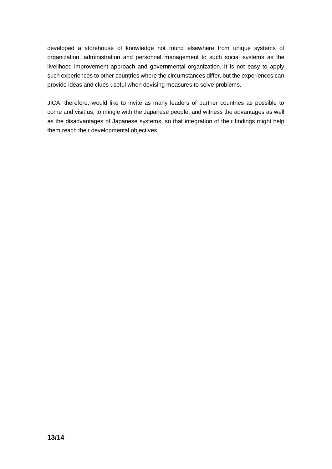developed a storehouse of knowledge not found elsewhere from unique systems of organization, administration and personnel management to such social systems as the livelihood improvement approach and governmental organization. It is not easy to apply such experiences to other countries where the circumstances differ, but the experiences can provide ideas and clues useful when devising measures to solve problems.

JICA, therefore, would like to invite as many leaders of partner countries as possible to come and visit us, to mingle with the Japanese people, and witness the advantages as well as the disadvantages of Japanese systems, so that integration of their findings might help them reach their developmental objectives.